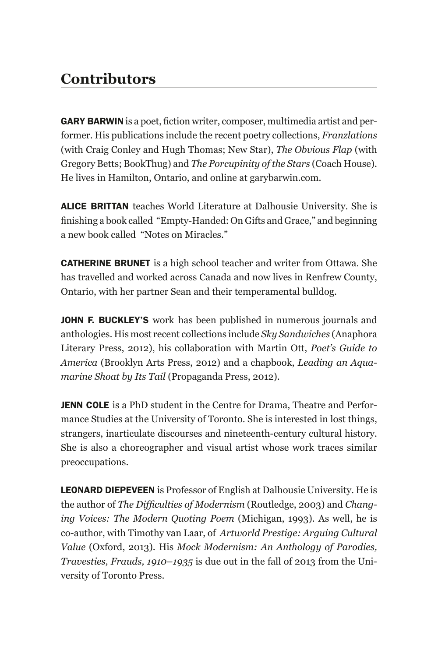## **Contributors**

**GARY BARWIN** is a poet, fiction writer, composer, multimedia artist and performer. His publications include the recent poetry collections, *Franzlations* (with Craig Conley and Hugh Thomas; New Star), *The Obvious Flap* (with Gregory Betts; BookThug) and *The Porcupinity of the Stars* (Coach House). He lives in Hamilton, Ontario, and online at garybarwin.com.

ALICE BRITTAN teaches World Literature at Dalhousie University. She is finishing a book called "Empty-Handed: On Gifts and Grace," and beginning a new book called "Notes on Miracles."

**CATHERINE BRUNET** is a high school teacher and writer from Ottawa. She has travelled and worked across Canada and now lives in Renfrew County, Ontario, with her partner Sean and their temperamental bulldog.

JOHN F. BUCKLEY'S work has been published in numerous journals and anthologies. His most recent collections include *Sky Sandwiches* (Anaphora Literary Press, 2012), his collaboration with Martin Ott, *Poet's Guide to America* (Brooklyn Arts Press, 2012) and a chapbook, *Leading an Aquamarine Shoat by Its Tail* (Propaganda Press, 2012).

**JENN COLE** is a PhD student in the Centre for Drama, Theatre and Performance Studies at the University of Toronto. She is interested in lost things, strangers, inarticulate discourses and nineteenth-century cultural history. She is also a choreographer and visual artist whose work traces similar preoccupations.

**LEONARD DIEPEVEEN** is Professor of English at Dalhousie University. He is the author of *The Difficulties of Modernism* (Routledge, 2003) and *Changing Voices: The Modern Quoting Poem* (Michigan, 1993). As well, he is co-author, with Timothy van Laar, of *Artworld Prestige: Arguing Cultural Value* (Oxford, 2013). His *Mock Modernism: An Anthology of Parodies, Travesties, Frauds, 1910–1935* is due out in the fall of 2013 from the University of Toronto Press.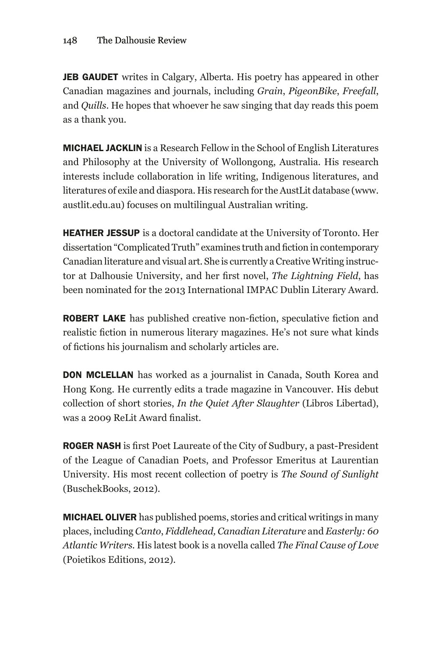JEB GAUDET writes in Calgary, Alberta. His poetry has appeared in other Canadian magazines and journals, including *Grain*, *PigeonBike*, *Freefall*, and *Quills*. He hopes that whoever he saw singing that day reads this poem as a thank you.

**MICHAEL JACKLIN** is a Research Fellow in the School of English Literatures and Philosophy at the University of Wollongong, Australia. His research interests include collaboration in life writing, Indigenous literatures, and literatures of exile and diaspora. His research for the AustLit database (www. austlit.edu.au) focuses on multilingual Australian writing.

**HEATHER JESSUP** is a doctoral candidate at the University of Toronto. Her dissertation "Complicated Truth" examines truth and fiction in contemporary Canadian literature and visual art. She is currently a Creative Writing instructor at Dalhousie University, and her first novel, *The Lightning Field*, has been nominated for the 2013 International IMPAC Dublin Literary Award.

**ROBERT LAKE** has published creative non-fiction, speculative fiction and realistic fiction in numerous literary magazines. He's not sure what kinds of fictions his journalism and scholarly articles are.

**DON MCLELLAN** has worked as a journalist in Canada, South Korea and Hong Kong. He currently edits a trade magazine in Vancouver. His debut collection of short stories, *In the Quiet After Slaughter* (Libros Libertad), was a 2009 ReLit Award finalist.

**ROGER NASH** is first Poet Laureate of the City of Sudbury, a past-President of the League of Canadian Poets, and Professor Emeritus at Laurentian University. His most recent collection of poetry is *The Sound of Sunlight*  (BuschekBooks, 2012).

**MICHAEL OLIVER** has published poems, stories and critical writings in many places, including *Canto*, *Fiddlehead, Canadian Literature* and *Easterly: 60 Atlantic Writers.* His latest book is a novella called *The Final Cause of Love* (Poietikos Editions, 2012).